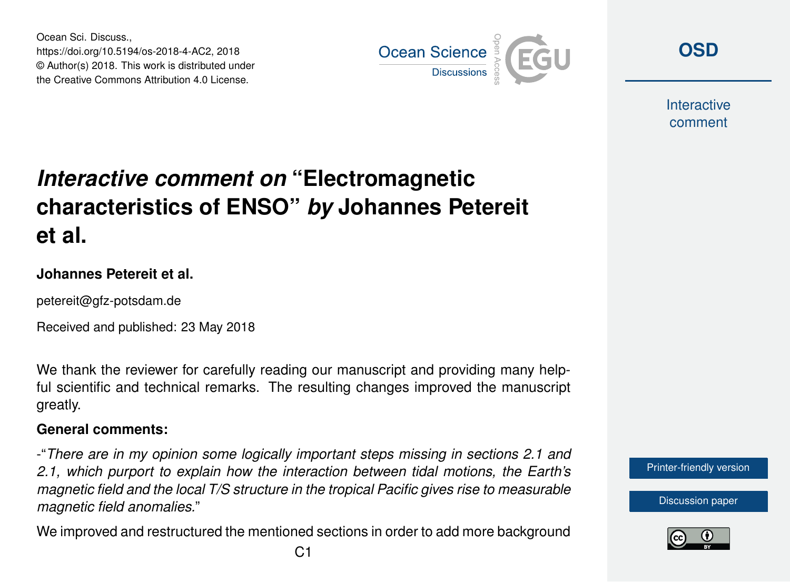Ocean Sci. Discuss., https://doi.org/10.5194/os-2018-4-AC2, 2018 © Author(s) 2018. This work is distributed under the Creative Commons Attribution 4.0 License.



**[OSD](https://www.ocean-sci-discuss.net/)**

**Interactive** comment

# *Interactive comment on* **"Electromagnetic characteristics of ENSO"** *by* **Johannes Petereit et al.**

#### **Johannes Petereit et al.**

petereit@gfz-potsdam.de

Received and published: 23 May 2018

We thank the reviewer for carefully reading our manuscript and providing many helpful scientific and technical remarks. The resulting changes improved the manuscript greatly.

#### **General comments:**

-"*There are in my opinion some logically important steps missing in sections 2.1 and 2.1, which purport to explain how the interaction between tidal motions, the Earth's magnetic field and the local T/S structure in the tropical Pacific gives rise to measurable magnetic field anomalies.*"

We improved and restructured the mentioned sections in order to add more background



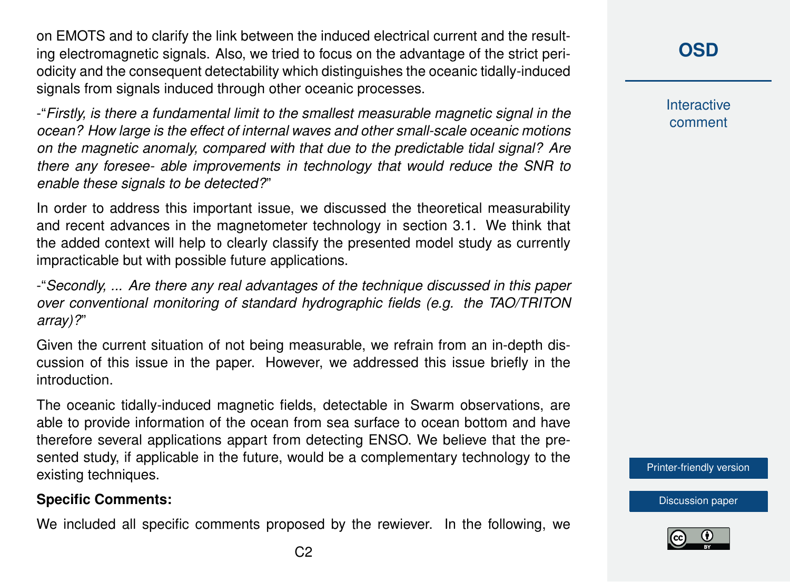on EMOTS and to clarify the link between the induced electrical current and the resulting electromagnetic signals. Also, we tried to focus on the advantage of the strict periodicity and the consequent detectability which distinguishes the oceanic tidally-induced signals from signals induced through other oceanic processes.

-"*Firstly, is there a fundamental limit to the smallest measurable magnetic signal in the ocean? How large is the effect of internal waves and other small-scale oceanic motions on the magnetic anomaly, compared with that due to the predictable tidal signal? Are there any foresee- able improvements in technology that would reduce the SNR to enable these signals to be detected?*"

In order to address this important issue, we discussed the theoretical measurability and recent advances in the magnetometer technology in section 3.1. We think that the added context will help to clearly classify the presented model study as currently impracticable but with possible future applications.

-"*Secondly, ... Are there any real advantages of the technique discussed in this paper over conventional monitoring of standard hydrographic fields (e.g. the TAO/TRITON array)?*"

Given the current situation of not being measurable, we refrain from an in-depth discussion of this issue in the paper. However, we addressed this issue briefly in the introduction.

The oceanic tidally-induced magnetic fields, detectable in Swarm observations, are able to provide information of the ocean from sea surface to ocean bottom and have therefore several applications appart from detecting ENSO. We believe that the presented study, if applicable in the future, would be a complementary technology to the existing techniques.

#### **Specific Comments:**

We included all specific comments proposed by the rewiever. In the following, we

**[OSD](https://www.ocean-sci-discuss.net/)**

**Interactive** comment

[Printer-friendly version](https://www.ocean-sci-discuss.net/os-2018-4/os-2018-4-AC2-print.pdf)

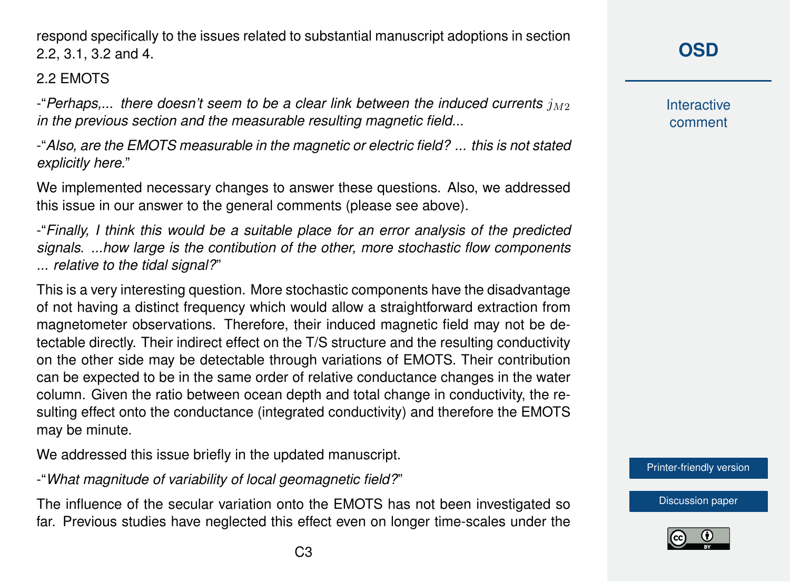C3

respond specifically to the issues related to substantial manuscript adoptions in section 2.2, 3.1, 3.2 and 4.

## 2.2 EMOTS

 $-$  *Perhaps,... there doesn't seem to be a clear link between the induced currents*  $j_{M2}$ *in the previous section and the measurable resulting magnetic field...*

-"*Also, are the EMOTS measurable in the magnetic or electric field? ... this is not stated explicitly here.*"

We implemented necessary changes to answer these questions. Also, we addressed this issue in our answer to the general comments (please see above).

-"*Finally, I think this would be a suitable place for an error analysis of the predicted signals. ...how large is the contibution of the other, more stochastic flow components ... relative to the tidal signal?*"

This is a very interesting question. More stochastic components have the disadvantage of not having a distinct frequency which would allow a straightforward extraction from magnetometer observations. Therefore, their induced magnetic field may not be detectable directly. Their indirect effect on the T/S structure and the resulting conductivity on the other side may be detectable through variations of EMOTS. Their contribution can be expected to be in the same order of relative conductance changes in the water column. Given the ratio between ocean depth and total change in conductivity, the resulting effect onto the conductance (integrated conductivity) and therefore the EMOTS may be minute.

We addressed this issue briefly in the updated manuscript.

-"*What magnitude of variability of local geomagnetic field?*"

The influence of the secular variation onto the EMOTS has not been investigated so far. Previous studies have neglected this effect even on longer time-scales under the **[OSD](https://www.ocean-sci-discuss.net/)**

**Interactive** comment

[Printer-friendly version](https://www.ocean-sci-discuss.net/os-2018-4/os-2018-4-AC2-print.pdf)